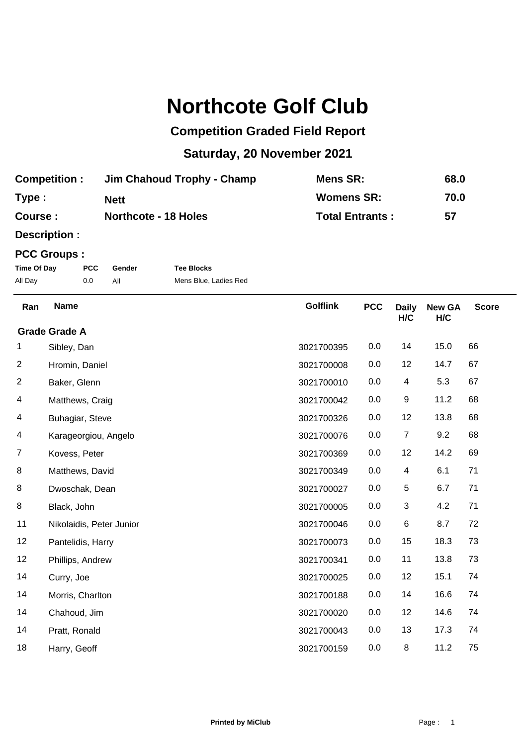## **Northcote Golf Club**

## **Competition Graded Field Report**

## **Saturday, 20 November 2021**

| <b>Competition:</b> | Jim Chahoud Trophy - Champ  | Mens SR:               | 68.0 |
|---------------------|-----------------------------|------------------------|------|
| Type:               | <b>Nett</b>                 | <b>Womens SR:</b>      | 70.0 |
| Course :            | <b>Northcote - 18 Holes</b> | <b>Total Entrants:</b> | 57   |

**Description :**

## **PCC Groups :**

| Time Of Day | <b>PCC</b> | Gender | <b>Tee Blocks</b>     |
|-------------|------------|--------|-----------------------|
| All Day     | 0.0        |        | Mens Blue, Ladies Red |

| Ran                     | <b>Name</b>              | <b>Golflink</b> | <b>PCC</b> | <b>Daily</b><br>H/C | <b>New GA</b><br>H/C | <b>Score</b> |
|-------------------------|--------------------------|-----------------|------------|---------------------|----------------------|--------------|
|                         | <b>Grade Grade A</b>     |                 |            |                     |                      |              |
| 1                       | Sibley, Dan              | 3021700395      | 0.0        | 14                  | 15.0                 | 66           |
| $\overline{c}$          | Hromin, Daniel           | 3021700008      | 0.0        | 12                  | 14.7                 | 67           |
| $\overline{\mathbf{c}}$ | Baker, Glenn             | 3021700010      | 0.0        | 4                   | 5.3                  | 67           |
| 4                       | Matthews, Craig          | 3021700042      | 0.0        | 9                   | 11.2                 | 68           |
| 4                       | Buhagiar, Steve          | 3021700326      | 0.0        | 12                  | 13.8                 | 68           |
| 4                       | Karageorgiou, Angelo     | 3021700076      | 0.0        | $\overline{7}$      | 9.2                  | 68           |
| $\overline{7}$          | Kovess, Peter            | 3021700369      | 0.0        | 12                  | 14.2                 | 69           |
| 8                       | Matthews, David          | 3021700349      | 0.0        | 4                   | 6.1                  | 71           |
| 8                       | Dwoschak, Dean           | 3021700027      | 0.0        | 5                   | 6.7                  | 71           |
| 8                       | Black, John              | 3021700005      | 0.0        | 3                   | 4.2                  | 71           |
| 11                      | Nikolaidis, Peter Junior | 3021700046      | 0.0        | 6                   | 8.7                  | 72           |
| 12                      | Pantelidis, Harry        | 3021700073      | 0.0        | 15                  | 18.3                 | 73           |
| 12                      | Phillips, Andrew         | 3021700341      | 0.0        | 11                  | 13.8                 | 73           |
| 14                      | Curry, Joe               | 3021700025      | 0.0        | 12                  | 15.1                 | 74           |
| 14                      | Morris, Charlton         | 3021700188      | 0.0        | 14                  | 16.6                 | 74           |
| 14                      | Chahoud, Jim             | 3021700020      | 0.0        | 12                  | 14.6                 | 74           |
| 14                      | Pratt, Ronald            | 3021700043      | 0.0        | 13                  | 17.3                 | 74           |
| 18                      | Harry, Geoff             | 3021700159      | 0.0        | $\,8\,$             | 11.2                 | 75           |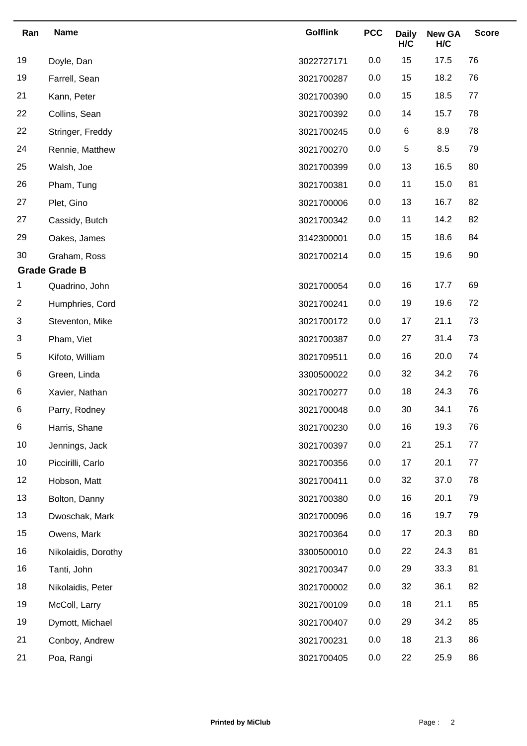| Ran                     | <b>Name</b>          | <b>Golflink</b> | <b>PCC</b> | <b>Daily</b><br>H/C | <b>New GA</b><br>H/C | <b>Score</b> |
|-------------------------|----------------------|-----------------|------------|---------------------|----------------------|--------------|
| 19                      | Doyle, Dan           | 3022727171      | 0.0        | 15                  | 17.5                 | 76           |
| 19                      | Farrell, Sean        | 3021700287      | 0.0        | 15                  | 18.2                 | 76           |
| 21                      | Kann, Peter          | 3021700390      | 0.0        | 15                  | 18.5                 | 77           |
| 22                      | Collins, Sean        | 3021700392      | 0.0        | 14                  | 15.7                 | 78           |
| 22                      | Stringer, Freddy     | 3021700245      | 0.0        | 6                   | 8.9                  | 78           |
| 24                      | Rennie, Matthew      | 3021700270      | 0.0        | 5                   | 8.5                  | 79           |
| 25                      | Walsh, Joe           | 3021700399      | 0.0        | 13                  | 16.5                 | 80           |
| 26                      | Pham, Tung           | 3021700381      | 0.0        | 11                  | 15.0                 | 81           |
| 27                      | Plet, Gino           | 3021700006      | 0.0        | 13                  | 16.7                 | 82           |
| 27                      | Cassidy, Butch       | 3021700342      | 0.0        | 11                  | 14.2                 | 82           |
| 29                      | Oakes, James         | 3142300001      | 0.0        | 15                  | 18.6                 | 84           |
| 30                      | Graham, Ross         | 3021700214      | 0.0        | 15                  | 19.6                 | 90           |
|                         | <b>Grade Grade B</b> |                 |            |                     |                      |              |
| 1                       | Quadrino, John       | 3021700054      | 0.0        | 16                  | 17.7                 | 69           |
| $\overline{\mathbf{c}}$ | Humphries, Cord      | 3021700241      | 0.0        | 19                  | 19.6                 | 72           |
| 3                       | Steventon, Mike      | 3021700172      | 0.0        | 17                  | 21.1                 | 73           |
| 3                       | Pham, Viet           | 3021700387      | 0.0        | 27                  | 31.4                 | 73           |
| 5                       | Kifoto, William      | 3021709511      | 0.0        | 16                  | 20.0                 | 74           |
| 6                       | Green, Linda         | 3300500022      | 0.0        | 32                  | 34.2                 | 76           |
| 6                       | Xavier, Nathan       | 3021700277      | 0.0        | 18                  | 24.3                 | 76           |
| 6                       | Parry, Rodney        | 3021700048      | 0.0        | 30                  | 34.1                 | 76           |
| 6                       | Harris, Shane        | 3021700230      | 0.0        | 16                  | 19.3                 | 76           |
| 10                      | Jennings, Jack       | 3021700397      | 0.0        | 21                  | 25.1                 | $77$         |
| 10                      | Piccirilli, Carlo    | 3021700356      | 0.0        | 17                  | 20.1                 | 77           |
| 12                      | Hobson, Matt         | 3021700411      | 0.0        | 32                  | 37.0                 | 78           |
| 13                      | Bolton, Danny        | 3021700380      | 0.0        | 16                  | 20.1                 | 79           |
| 13                      | Dwoschak, Mark       | 3021700096      | 0.0        | 16                  | 19.7                 | 79           |
| 15                      | Owens, Mark          | 3021700364      | 0.0        | 17                  | 20.3                 | 80           |
| 16                      | Nikolaidis, Dorothy  | 3300500010      | 0.0        | 22                  | 24.3                 | 81           |
| 16                      | Tanti, John          | 3021700347      | 0.0        | 29                  | 33.3                 | 81           |
| 18                      | Nikolaidis, Peter    | 3021700002      | 0.0        | 32                  | 36.1                 | 82           |
| 19                      | McColl, Larry        | 3021700109      | 0.0        | 18                  | 21.1                 | 85           |
| 19                      | Dymott, Michael      | 3021700407      | 0.0        | 29                  | 34.2                 | 85           |
| 21                      | Conboy, Andrew       | 3021700231      | 0.0        | 18                  | 21.3                 | 86           |
| 21                      | Poa, Rangi           | 3021700405      | 0.0        | 22                  | 25.9                 | 86           |